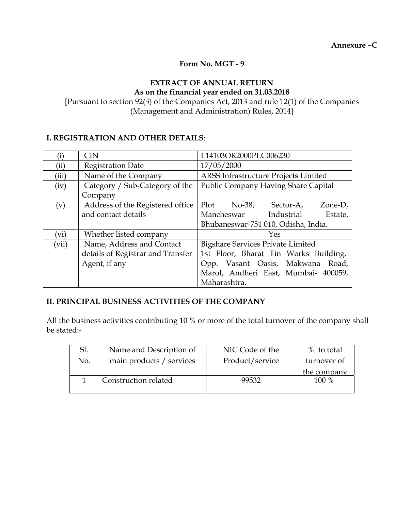**Annexure –C** 

#### **Form No. MGT - 9**

#### **EXTRACT OF ANNUAL RETURN As on the financial year ended on 31.03.2018**

[Pursuant to section 92(3) of the Companies Act, 2013 and rule 12(1) of the Companies (Management and Administration) Rules, 2014]

#### **I. REGISTRATION AND OTHER DETAILS**:

| $\rm(i)$ | <b>CIN</b>                        | L14103OR2000PLC006230                    |  |  |  |
|----------|-----------------------------------|------------------------------------------|--|--|--|
| (ii)     | <b>Registration Date</b>          | 17/05/2000                               |  |  |  |
| (iii)    | Name of the Company               | ARSS Infrastructure Projects Limited     |  |  |  |
| (iv)     | Category / Sub-Category of the    | Public Company Having Share Capital      |  |  |  |
|          | Company                           |                                          |  |  |  |
| (v)      | Address of the Registered office  | Plot $No-38$ ,<br>Sector-A,<br>Zone-D,   |  |  |  |
|          | and contact details               | Mancheswar Industrial<br>Estate,         |  |  |  |
|          |                                   | Bhubaneswar-751 010, Odisha, India.      |  |  |  |
| (vi)     | Whether listed company            | Yes                                      |  |  |  |
| (vii)    | Name, Address and Contact         | <b>Bigshare Services Private Limited</b> |  |  |  |
|          | details of Registrar and Transfer | 1st Floor, Bharat Tin Works Building,    |  |  |  |
|          | Agent, if any                     | Vasant Oasis, Makwana Road,<br>Opp.      |  |  |  |
|          |                                   | Marol, Andheri East, Mumbai- 400059,     |  |  |  |
|          |                                   | Maharashtra.                             |  |  |  |

#### **II. PRINCIPAL BUSINESS ACTIVITIES OF THE COMPANY**

All the business activities contributing 10 % or more of the total turnover of the company shall be stated:-

| Sl. | Name and Description of  | NIC Code of the | % to total  |
|-----|--------------------------|-----------------|-------------|
| No. | main products / services | Product/service | turnover of |
|     |                          |                 |             |
|     |                          |                 | the company |
|     | Construction related     | 99532           | 100 %       |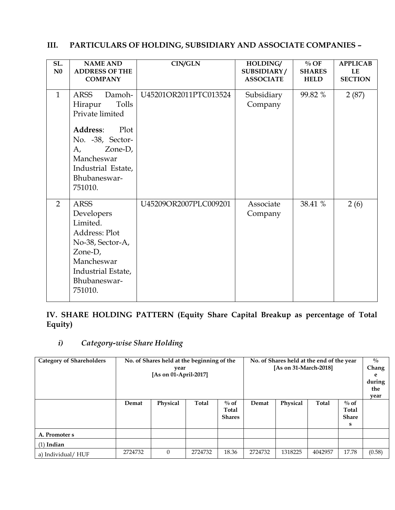| SL.<br>N <sub>0</sub> | <b>NAME AND</b><br><b>ADDRESS OF THE</b><br><b>COMPANY</b>                                                                                                                    | <b>CIN/GLN</b>        | HOLDING/<br>SUBSIDIARY/<br><b>ASSOCIATE</b> | $\%$ OF<br><b>SHARES</b><br><b>HELD</b> | <b>APPLICAB</b><br>LE<br><b>SECTION</b> |
|-----------------------|-------------------------------------------------------------------------------------------------------------------------------------------------------------------------------|-----------------------|---------------------------------------------|-----------------------------------------|-----------------------------------------|
| $\mathbf{1}$          | ARSS<br>Damoh-<br>Tolls<br>Hirapur<br>Private limited<br>Address:<br>Plot<br>No. -38, Sector-<br>Zone-D,<br>A,<br>Mancheswar<br>Industrial Estate,<br>Bhubaneswar-<br>751010. | U45201OR2011PTC013524 | Subsidiary<br>Company                       | 99.82 %                                 | 2(87)                                   |
| $\overline{2}$        | <b>ARSS</b><br>Developers<br>Limited.<br>Address: Plot<br>No-38, Sector-A,<br>Zone-D,<br>Mancheswar<br>Industrial Estate,<br>Bhubaneswar-<br>751010.                          | U45209OR2007PLC009201 | Associate<br>Company                        | 38.41 %                                 | 2(6)                                    |

#### **III. PARTICULARS OF HOLDING, SUBSIDIARY AND ASSOCIATE COMPANIES –**

**IV. SHARE HOLDING PATTERN (Equity Share Capital Breakup as percentage of Total Equity)** 

## *i) Category-wise Share Holding*

| <b>Category of Shareholders</b> | No. of Shares held at the beginning of the |          |         | No. of Shares held at the end of the year |         |          |         | $\frac{0}{0}$ |        |
|---------------------------------|--------------------------------------------|----------|---------|-------------------------------------------|---------|----------|---------|---------------|--------|
|                                 | year                                       |          |         | [As on 31-March-2018]                     |         |          |         | Chang         |        |
|                                 | [As on 01-April-2017]                      |          |         |                                           |         |          |         | e             |        |
|                                 |                                            |          |         |                                           |         |          |         | during        |        |
|                                 |                                            |          |         |                                           |         |          |         | the           |        |
|                                 |                                            |          |         |                                           |         |          |         | year          |        |
|                                 | Demat                                      | Physical | Total   | $\%$ of                                   | Demat   | Physical | Total   | $\%$ of       |        |
|                                 |                                            |          |         | Total                                     |         |          |         | Total         |        |
|                                 |                                            |          |         | <b>Shares</b>                             |         |          |         | <b>Share</b>  |        |
|                                 |                                            |          |         |                                           |         |          |         | s             |        |
| A. Promoter s                   |                                            |          |         |                                           |         |          |         |               |        |
| $(1)$ Indian                    |                                            |          |         |                                           |         |          |         |               |        |
| a) Individual/ HUF              | 2724732                                    | $\Omega$ | 2724732 | 18.36                                     | 2724732 | 1318225  | 4042957 | 17.78         | (0.58) |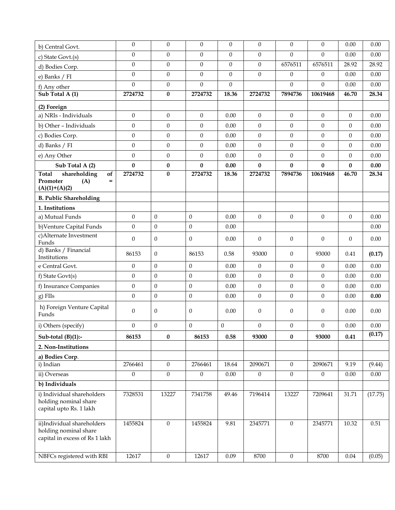| b) Central Govt.                                                                      | $\theta$         | $\overline{0}$   | $\theta$         | $\theta$     | $\mathbf{0}$     | $\mathbf{0}$     | $\theta$         | 0.00           | 0.00     |
|---------------------------------------------------------------------------------------|------------------|------------------|------------------|--------------|------------------|------------------|------------------|----------------|----------|
| c) State Govt.(s)                                                                     | $\boldsymbol{0}$ | $\boldsymbol{0}$ | $\mathbf{0}$     | $\mathbf{0}$ | $\boldsymbol{0}$ | $\mathbf{0}$     | $\overline{0}$   | 0.00           | 0.00     |
| d) Bodies Corp.                                                                       | $\boldsymbol{0}$ | $\boldsymbol{0}$ | $\mathbf{0}$     | $\mathbf{0}$ | $\mathbf{0}$     | 6576511          | 6576511          | 28.92          | 28.92    |
| e) Banks / FI                                                                         | $\mathbf{0}$     | $\mathbf{0}$     | $\mathbf{0}$     | $\mathbf{0}$ | $\mathbf{0}$     | $\mathbf{0}$     | $\theta$         | 0.00           | 0.00     |
| f) Any other                                                                          | $\mathbf{0}$     | $\boldsymbol{0}$ | $\mathbf{0}$     | $\mathbf{0}$ |                  | $\mathbf{0}$     | $\Omega$         | 0.00           | 0.00     |
| Sub Total A (1)                                                                       | 2724732          | $\bf{0}$         | 2724732          | 18.36        | 2724732          | 7894736          | 10619468         | 46.70          | 28.34    |
| (2) Foreign                                                                           |                  |                  |                  |              |                  |                  |                  |                |          |
| a) NRIs - Individuals                                                                 | $\boldsymbol{0}$ | $\boldsymbol{0}$ | $\mathbf{0}$     | 0.00         | $\mathbf{0}$     | $\boldsymbol{0}$ | $\theta$         | $\mathbf{0}$   | 0.00     |
| b) Other - Individuals                                                                | $\mathbf{0}$     | $\boldsymbol{0}$ | $\boldsymbol{0}$ | 0.00         | $\mathbf{0}$     | $\boldsymbol{0}$ | $\theta$         | $\theta$       | 0.00     |
| c) Bodies Corp.                                                                       | $\boldsymbol{0}$ | $\mathbf{0}$     | $\mathbf{0}$     | 0.00         | $\mathbf{0}$     | $\mathbf{0}$     | $\theta$         | $\overline{0}$ | 0.00     |
| d) Banks / FI                                                                         | $\boldsymbol{0}$ | $\boldsymbol{0}$ | $\boldsymbol{0}$ | 0.00         | $\boldsymbol{0}$ | $\boldsymbol{0}$ | $\boldsymbol{0}$ | $\theta$       | 0.00     |
| e) Any Other                                                                          | $\boldsymbol{0}$ | $\boldsymbol{0}$ | $\boldsymbol{0}$ | 0.00         | $\mathbf{0}$     | $\boldsymbol{0}$ | $\overline{0}$   | $\overline{0}$ | 0.00     |
| Sub Total A (2)                                                                       | $\bf{0}$         | $\pmb{0}$        | $\pmb{0}$        | 0.00         | $\pmb{0}$        | $\bf{0}$         | $\bf{0}$         | $\bf{0}$       | 0.00     |
| shareholding<br><b>Total</b><br>of<br>Promoter<br>(A)<br>$=$<br>$(A)(1)+(A)(2)$       | 2724732          | $\bf{0}$         | 2724732          | 18.36        | 2724732          | 7894736          | 10619468         | 46.70          | 28.34    |
| <b>B. Public Shareholding</b>                                                         |                  |                  |                  |              |                  |                  |                  |                |          |
| 1. Institutions                                                                       |                  |                  |                  |              |                  |                  |                  |                |          |
| a) Mutual Funds                                                                       | $\boldsymbol{0}$ | $\boldsymbol{0}$ | $\boldsymbol{0}$ | 0.00         | $\boldsymbol{0}$ | $\boldsymbol{0}$ | $\boldsymbol{0}$ | $\theta$       | 0.00     |
| b) Venture Capital Funds                                                              | $\boldsymbol{0}$ | $\boldsymbol{0}$ | $\boldsymbol{0}$ | 0.00         |                  |                  |                  |                | 0.00     |
| c)Alternate Investment<br>Funds                                                       | $\theta$         | $\theta$         | $\mathbf{0}$     | 0.00         | $\mathbf{0}$     | $\mathbf{0}$     | $\theta$         | $\theta$       | 0.00     |
| d) Banks / Financial<br>Institutions                                                  | 86153            | $\theta$         | 86153            | 0.58         | 93000            | $\mathbf{0}$     | 93000            | 0.41           | (0.17)   |
| e Central Govt.                                                                       | $\boldsymbol{0}$ | $\theta$         | $\theta$         | 0.00         | $\mathbf{0}$     | $\mathbf{0}$     | $\theta$         | 0.00           | 0.00     |
| f) State Govt(s)                                                                      | $\mathbf{0}$     | $\mathbf{0}$     | $\theta$         | 0.00         | $\mathbf{0}$     | $\boldsymbol{0}$ | $\Omega$         | 0.00           | 0.00     |
| f) Insurance Companies                                                                | $\boldsymbol{0}$ | $\mathbf{0}$     | $\mathbf{0}$     | 0.00         | $\mathbf{0}$     | $\mathbf{0}$     | $\overline{0}$   | 0.00           | 0.00     |
| g) FIIs                                                                               | $\boldsymbol{0}$ | $\boldsymbol{0}$ | $\boldsymbol{0}$ | 0.00         | $\boldsymbol{0}$ | $\mathbf{0}$     | $\boldsymbol{0}$ | 0.00           | 0.00     |
| h) Foreign Venture Capital<br>Funds                                                   | $\mathbf{0}$     | $\theta$         | $\theta$         | 0.00         | $\mathbf{0}$     | $\mathbf{0}$     | $\theta$         | 0.00           | 0.00     |
| i) Others (specify)                                                                   | $\boldsymbol{0}$ | $\mathbf{0}$     | $\overline{0}$   | $\theta$     | $\boldsymbol{0}$ | $\mathbf{0}$     | $\theta$         | 0.00           | 0.00     |
| Sub-total $(B)(1)$ :-                                                                 | 86153            | $\bf{0}$         | 86153            | 0.58         | 93000            | $\bf{0}$         | 93000            | 0.41           | (0.17)   |
| 2. Non-Institutions                                                                   |                  |                  |                  |              |                  |                  |                  |                |          |
| a) Bodies Corp.                                                                       |                  |                  |                  |              |                  |                  |                  |                |          |
| i) Indian                                                                             | 2766461          | $\mathbf{0}$     | 2766461          | 18.64        | 2090671          | $\mathbf{0}$     | 2090671          | 9.19           | (9.44)   |
| ii) Overseas                                                                          | $\mathbf{0}$     | $\mathbf{0}$     | $\mathbf{0}$     | $0.00\,$     | $\boldsymbol{0}$ | $\mathbf{0}$     | $\theta$         | 0.00           | 0.00     |
| b) Individuals                                                                        |                  |                  |                  |              |                  |                  |                  |                |          |
| i) Individual shareholders<br>holding nominal share<br>capital upto Rs. 1 lakh        | 7328531          | 13227            | 7341758          | 49.46        | 7196414          | 13227            | 7209641          | 31.71          | (17.75)  |
| ii)Individual shareholders<br>holding nominal share<br>capital in excess of Rs 1 lakh | 1455824          | $\boldsymbol{0}$ | 1455824          | 9.81         | 2345771          | $\mathbf{0}$     | 2345771          | 10.32          | $0.51\,$ |
| NBFCs registered with RBI                                                             | 12617            | $\mathbf{0}$     | 12617            | 0.09         | 8700             | $\mathbf{0}$     | 8700             | 0.04           | (0.05)   |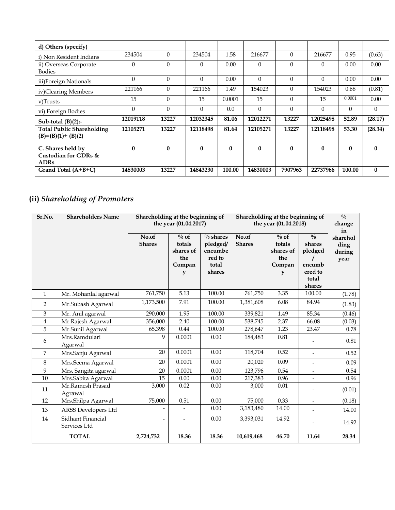| d) Others (specify)                 |                 |              |              |              |              |              |              |              |              |
|-------------------------------------|-----------------|--------------|--------------|--------------|--------------|--------------|--------------|--------------|--------------|
| i) Non Resident Indians             | 234504          | $\Omega$     | 234504       | 1.58         | 216677       | $\Omega$     | 216677       | 0.95         | (0.63)       |
| ii) Overseas Corporate              | $\Omega$        | $\Omega$     | $\theta$     | 0.00         | $\theta$     | $\theta$     | 0            | 0.00         | 0.00         |
| <b>Bodies</b>                       |                 |              |              |              |              |              |              |              |              |
| iii) Foreign Nationals              | $\Omega$        | $\Omega$     | $\Omega$     | 0.00         | $\Omega$     | $\Omega$     | $\Omega$     | 0.00         | 0.00         |
| iv)Clearing Members                 | 221166          | $\Omega$     | 221166       | 1.49         | 154023       | $\Omega$     | 154023       | 0.68         | (0.81)       |
| v)Trusts                            | 15              | $\Omega$     | 15           | 0.0001       | 15           | $\Omega$     | 15           | 0.0001       | 0.00         |
| vi) Foreign Bodies                  | $\Omega$        | $\Omega$     | $\Omega$     | 0.0          | $\Omega$     | $\Omega$     | $\Omega$     | $\Omega$     | $\theta$     |
| Sub-total $(B)(2)$ :-               | 12019118        | 13227        | 12032345     | 81.06        | 12012271     | 13227        | 12025498     | 52.89        | (28.17)      |
| <b>Total Public Shareholding</b>    | 12105271        | 13227        | 12118498     | 81.64        | 12105271     | 13227        | 12118498     | 53.30        | (28.34)      |
| $(B)=(B)(1)+(B)(2)$                 |                 |              |              |              |              |              |              |              |              |
| C. Shares held by                   | $\mathbf{0}$    | $\mathbf{0}$ | $\mathbf{0}$ | $\mathbf{0}$ | $\mathbf{0}$ | $\mathbf{0}$ | $\mathbf{0}$ | $\mathbf{0}$ | $\mathbf{0}$ |
| Custodian for GDRs &<br><b>ADRs</b> |                 |              |              |              |              |              |              |              |              |
| Grand Total (A+B+C)                 | <b>14830003</b> | 13227        | 14843230     | 100.00       | 14830003     | 7907963      | 22737966     | 100.00       | $\mathbf{0}$ |

# **(ii)** *Shareholding of Promoters*

| Sr.No.         | <b>Shareholders Name</b>          | Shareholding at the beginning of | the year (01.04.2017)                                                    |                                                                 | Shareholding at the beginning of<br>the year (01.04.2018) |                                                      |                                                                            | $\overline{\frac{0}{0}}$<br>change       |
|----------------|-----------------------------------|----------------------------------|--------------------------------------------------------------------------|-----------------------------------------------------------------|-----------------------------------------------------------|------------------------------------------------------|----------------------------------------------------------------------------|------------------------------------------|
|                |                                   | No.of<br><b>Shares</b>           | $\overline{\frac{0}{6}}$ of<br>totals<br>shares of<br>the<br>Compan<br>y | $\%$ shares<br>pledged/<br>encumbe<br>red to<br>total<br>shares | No.of<br><b>Shares</b>                                    | $\%$ of<br>totals<br>shares of<br>the<br>Compan<br>y | $\frac{0}{0}$<br>shares<br>pledged<br>encumb<br>ered to<br>total<br>shares | in<br>sharehol<br>ding<br>during<br>year |
| $\mathbf{1}$   | Mr. Mohanlal agarwal              | 761,750                          | 5.13                                                                     | 100.00                                                          | 761,750                                                   | 3.35                                                 | 100.00                                                                     | (1.78)                                   |
| 2              | Mr.Subash Agarwal                 | 1,173,500                        | 7.91                                                                     | 100.00                                                          | 1,381,608                                                 | 6.08                                                 | 84.94                                                                      | (1.83)                                   |
| 3              | Mr. Anil agarwal                  | 290,000                          | 1.95                                                                     | 100.00                                                          | 339,821                                                   | 1.49                                                 | 85.34                                                                      | (0.46)                                   |
| $\overline{4}$ | Mr.Rajesh Agarwal                 | 356,000                          | 2.40                                                                     | 100.00                                                          | 538,745                                                   | 2.37                                                 | 66.08                                                                      | (0.03)                                   |
| 5              | Mr.Sunil Agarwal                  | 65,398                           | 0.44                                                                     | 100.00                                                          | 278,647                                                   | 1.23                                                 | 23.47                                                                      | 0.78                                     |
| 6              | Mrs.Ramdulari<br>Agarwal          | 9                                | 0.0001                                                                   | 0.00                                                            | 184,483                                                   | 0.81                                                 |                                                                            | 0.81                                     |
| $\overline{7}$ | Mrs.Sanju Agarwal                 | 20                               | 0.0001                                                                   | 0.00                                                            | 118,704                                                   | 0.52                                                 |                                                                            | 0.52                                     |
| 8              | Mrs.Seema Agarwal                 | 20                               | 0.0001                                                                   | 0.00                                                            | 20,020                                                    | 0.09                                                 | $\overline{\phantom{a}}$                                                   | 0.09                                     |
| 9              | Mrs. Sangita agarwal              | 20                               | 0.0001                                                                   | 0.00                                                            | 123,796                                                   | 0.54                                                 |                                                                            | 0.54                                     |
| 10             | Mrs.Sabita Agarwal                | 15                               | 0.00                                                                     | 0.00                                                            | 217,383                                                   | 0.96                                                 |                                                                            | 0.96                                     |
| 11             | Mr.Ramesh Prasad<br>Agrawal       | 3,000                            | 0.02                                                                     | 0.00                                                            | 3,000                                                     | 0.01                                                 |                                                                            | (0.01)                                   |
| 12             | Mrs.Shilpa Agarwal                | 75,000                           | 0.51                                                                     | 0.00                                                            | 75,000                                                    | 0.33                                                 | $\overline{\phantom{a}}$                                                   | (0.18)                                   |
| 13             | ARSS Developers Ltd               |                                  | $\overline{\phantom{a}}$                                                 | 0.00                                                            | 3,183,480                                                 | 14.00                                                | $\overline{\phantom{a}}$                                                   | 14.00                                    |
| 14             | Sidhant Financial<br>Services Ltd | $\overline{\phantom{0}}$         | $\overline{\phantom{a}}$                                                 | 0.00                                                            | 3,393,031                                                 | 14.92                                                |                                                                            | 14.92                                    |
|                | <b>TOTAL</b>                      | 2,724,732                        | 18.36                                                                    | 18.36                                                           | 10,619,468                                                | 46.70                                                | 11.64                                                                      | 28.34                                    |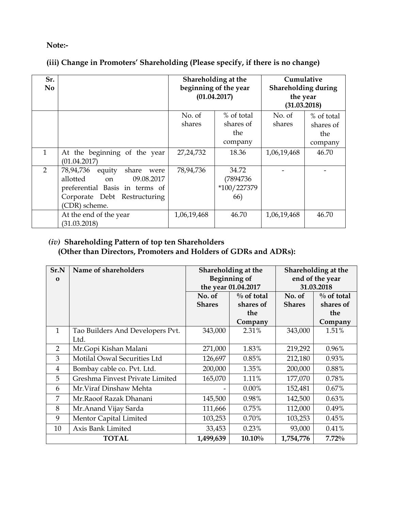#### **Note:-**

## **(iii) Change in Promoters' Shareholding (Please specify, if there is no change)**

| Sr.<br>N <sub>0</sub> |                                                                                                                                                      | Shareholding at the<br>beginning of the year<br>(01.04.2017) |                                           | Cumulative<br>Shareholding during<br>the year<br>(31.03.2018) |                                           |
|-----------------------|------------------------------------------------------------------------------------------------------------------------------------------------------|--------------------------------------------------------------|-------------------------------------------|---------------------------------------------------------------|-------------------------------------------|
|                       |                                                                                                                                                      | No. of<br>shares                                             | % of total<br>shares of<br>the<br>company | No. of<br>shares                                              | % of total<br>shares of<br>the<br>company |
| $\mathbf{1}$          | At the beginning of the year<br>(01.04.2017)                                                                                                         | 27, 24, 732                                                  | 18.36                                     | 1,06,19,468                                                   | 46.70                                     |
| $\overline{2}$        | 78,94,736<br>equity<br>share<br>were<br>allotted on<br>09.08.2017<br>preferential Basis in terms of<br>Corporate Debt Restructuring<br>(CDR) scheme. | 78,94,736                                                    | 34.72<br>(7894736)<br>*100/227379<br>66)  |                                                               |                                           |
|                       | At the end of the year<br>(31.03.2018)                                                                                                               | 1,06,19,468                                                  | 46.70                                     | 1,06,19,468                                                   | 46.70                                     |

#### *(iv)* **Shareholding Pattern of top ten Shareholders (Other than Directors, Promoters and Holders of GDRs and ADRs):**

| Sr.N         | Name of shareholders             |               | Shareholding at the | Shareholding at the |                 |  |
|--------------|----------------------------------|---------------|---------------------|---------------------|-----------------|--|
| $\bf{0}$     |                                  |               | <b>Beginning of</b> |                     | end of the year |  |
|              |                                  |               | the year 01.04.2017 | 31.03.2018          |                 |  |
|              |                                  | No. of        | $\%$ of total       | No. of              | $\%$ of total   |  |
|              |                                  | <b>Shares</b> | shares of           | <b>Shares</b>       | shares of       |  |
|              |                                  |               | the                 |                     | the             |  |
|              |                                  |               | Company             |                     | Company         |  |
| $\mathbf{1}$ | Tao Builders And Developers Pvt. | 343,000       | 2.31%               | 343,000             | 1.51%           |  |
|              | Ltd.                             |               |                     |                     |                 |  |
| 2            | Mr.Gopi Kishan Malani            | 271,000       | 1.83%               | 219,292             | 0.96%           |  |
| 3            | Motilal Oswal Securities Ltd     | 126,697       | 0.85%               | 212,180             | 0.93%           |  |
| 4            | Bombay cable co. Pvt. Ltd.       | 200,000       | 1.35%               | 200,000             | 0.88%           |  |
| 5            | Greshma Finvest Private Limited  | 165,070       | 1.11%               | 177,070             | 0.78%           |  |
| 6            | Mr. Viraf Dinshaw Mehta          |               | $0.00\%$            | 152,481             | 0.67%           |  |
| 7            | Mr.Raoof Razak Dhanani           | 145,500       | 0.98%               | 142,500             | 0.63%           |  |
| 8            | Mr.Anand Vijay Sarda             | 111,666       | 0.75%               | 112,000             | 0.49%           |  |
| 9            | Mentor Capital Limited           | 103,253       | 0.70%               | 103,253             | 0.45%           |  |
| 10           | Axis Bank Limited                | 33,453        | 0.23%               | 93,000              | 0.41%           |  |
|              | <b>TOTAL</b>                     | 1,499,639     | $10.10\%$           | 1,754,776           | 7.72%           |  |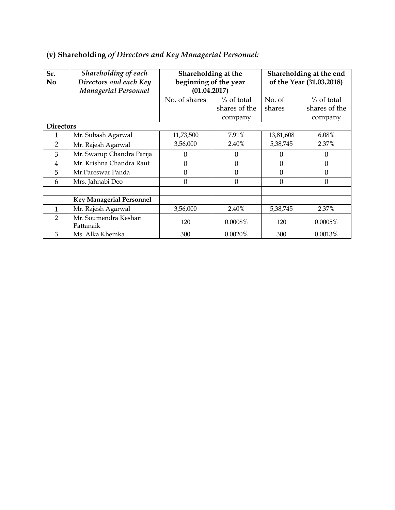| Sr.<br>N <sub>0</sub> | Shareholding of each<br>Directors and each Key<br><b>Managerial Personnel</b> | Shareholding at the<br>beginning of the year<br>(01.04.2017) |               | Shareholding at the end<br>of the Year (31.03.2018) |                |  |
|-----------------------|-------------------------------------------------------------------------------|--------------------------------------------------------------|---------------|-----------------------------------------------------|----------------|--|
|                       |                                                                               | No. of shares                                                | % of total    | No. of                                              | % of total     |  |
|                       |                                                                               |                                                              | shares of the | shares                                              | shares of the  |  |
|                       |                                                                               |                                                              | company       |                                                     | company        |  |
| <b>Directors</b>      |                                                                               |                                                              |               |                                                     |                |  |
| 1                     | Mr. Subash Agarwal                                                            | 11,73,500                                                    | 7.91%         | 13,81,608                                           | 6.08%          |  |
| $\overline{2}$        | Mr. Rajesh Agarwal                                                            | 3,56,000                                                     | 2.40%         | 5,38,745                                            | 2.37%          |  |
| 3                     | Mr. Swarup Chandra Parija                                                     | $\theta$                                                     | $\Omega$      | $\Omega$                                            | $\theta$       |  |
| $\overline{4}$        | Mr. Krishna Chandra Raut                                                      | $\mathbf{0}$                                                 | $\Omega$      | $\theta$                                            | 0              |  |
| 5                     | Mr.Pareswar Panda                                                             | $\mathbf{0}$                                                 | $\Omega$      | $\theta$                                            | $\overline{0}$ |  |
| 6                     | Mrs. Jahnabi Deo                                                              | $\mathbf{0}$                                                 | $\Omega$      | $\overline{0}$                                      | $\overline{0}$ |  |
|                       |                                                                               |                                                              |               |                                                     |                |  |
|                       | <b>Key Managerial Personnel</b>                                               |                                                              |               |                                                     |                |  |
| 1                     | Mr. Rajesh Agarwal                                                            | 3,56,000                                                     | 2.40%         | 5,38,745                                            | 2.37%          |  |
| $\overline{2}$        | Mr. Soumendra Keshari<br>Pattanaik                                            | 120                                                          | $0.0008\%$    | 120                                                 | $0.0005\%$     |  |
| 3                     | Ms. Alka Khemka                                                               | 300                                                          | 0.0020%       | 300                                                 | 0.0013%        |  |

## **(v) Shareholding** *of Directors and Key Managerial Personnel:*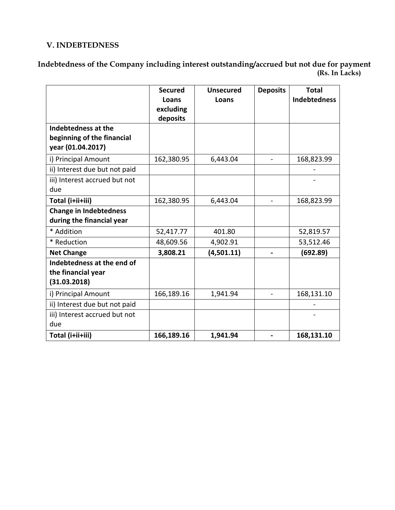#### **V. INDEBTEDNESS**

**Indebtedness of the Company including interest outstanding/accrued but not due for payment (Rs. In Lacks)** 

|                                                                        | <b>Secured</b><br>Loans<br>excluding<br>deposits | <b>Unsecured</b><br>Loans | <b>Deposits</b>          | <b>Total</b><br><b>Indebtedness</b> |
|------------------------------------------------------------------------|--------------------------------------------------|---------------------------|--------------------------|-------------------------------------|
| Indebtedness at the<br>beginning of the financial<br>year (01.04.2017) |                                                  |                           |                          |                                     |
| i) Principal Amount                                                    | 162,380.95                                       | 6,443.04                  |                          | 168,823.99                          |
| ii) Interest due but not paid                                          |                                                  |                           |                          |                                     |
| iii) Interest accrued but not<br>due                                   |                                                  |                           |                          |                                     |
| Total (i+ii+iii)                                                       | 162,380.95                                       | 6,443.04                  | $\overline{\phantom{0}}$ | 168,823.99                          |
| <b>Change in Indebtedness</b><br>during the financial year             |                                                  |                           |                          |                                     |
| * Addition                                                             | 52,417.77                                        | 401.80                    |                          | 52,819.57                           |
| * Reduction                                                            | 48,609.56                                        | 4,902.91                  |                          | 53,512.46                           |
| <b>Net Change</b>                                                      | 3,808.21                                         | (4,501.11)                |                          | (692.89)                            |
| Indebtedness at the end of<br>the financial year<br>(31.03.2018)       |                                                  |                           |                          |                                     |
| i) Principal Amount                                                    | 166,189.16                                       | 1,941.94                  | $\overline{\phantom{a}}$ | 168,131.10                          |
| ii) Interest due but not paid                                          |                                                  |                           |                          |                                     |
| iii) Interest accrued but not<br>due                                   |                                                  |                           |                          |                                     |
| Total (i+ii+iii)                                                       | 166,189.16                                       | 1,941.94                  |                          | 168,131.10                          |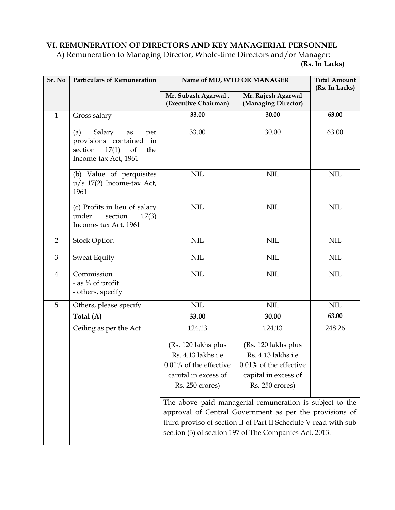## **VI. REMUNERATION OF DIRECTORS AND KEY MANAGERIAL PERSONNEL**

A) Remuneration to Managing Director, Whole-time Directors and/or Manager:  **(Rs. In Lacks)** 

| Sr. No         | <b>Particulars of Remuneration</b>                                                                                |                                                                                                                                                                                                                                                  | Name of MD, WTD OR MANAGER                                                                                        | <b>Total Amount</b><br>(Rs. In Lacks) |  |  |
|----------------|-------------------------------------------------------------------------------------------------------------------|--------------------------------------------------------------------------------------------------------------------------------------------------------------------------------------------------------------------------------------------------|-------------------------------------------------------------------------------------------------------------------|---------------------------------------|--|--|
|                |                                                                                                                   | Mr. Subash Agarwal,<br>(Executive Chairman)                                                                                                                                                                                                      | Mr. Rajesh Agarwal<br>(Managing Director)                                                                         |                                       |  |  |
| $\mathbf{1}$   | Gross salary                                                                                                      | 33.00                                                                                                                                                                                                                                            | 30.00                                                                                                             | 63.00                                 |  |  |
|                | Salary<br>(a)<br>per<br>as<br>provisions contained<br>in<br>17(1)<br>section<br>of<br>the<br>Income-tax Act, 1961 | 33.00                                                                                                                                                                                                                                            | 30.00                                                                                                             | 63.00                                 |  |  |
|                | (b) Value of perquisites<br>$u/s$ 17(2) Income-tax Act,<br>1961                                                   | <b>NIL</b>                                                                                                                                                                                                                                       | <b>NIL</b>                                                                                                        | <b>NIL</b>                            |  |  |
|                | (c) Profits in lieu of salary<br>under<br>section<br>17(3)<br>Income-tax Act, 1961                                | <b>NIL</b>                                                                                                                                                                                                                                       | <b>NIL</b>                                                                                                        | <b>NIL</b>                            |  |  |
| $\overline{2}$ | <b>Stock Option</b>                                                                                               | <b>NIL</b>                                                                                                                                                                                                                                       | <b>NIL</b>                                                                                                        | <b>NIL</b>                            |  |  |
| 3              | Sweat Equity                                                                                                      | <b>NIL</b>                                                                                                                                                                                                                                       | <b>NIL</b>                                                                                                        | <b>NIL</b>                            |  |  |
| 4              | Commission<br>- as % of profit<br>- others, specify                                                               | <b>NIL</b>                                                                                                                                                                                                                                       | <b>NIL</b>                                                                                                        | <b>NIL</b>                            |  |  |
| 5              | Others, please specify                                                                                            | <b>NIL</b>                                                                                                                                                                                                                                       | <b>NIL</b>                                                                                                        | <b>NIL</b>                            |  |  |
|                | Total (A)                                                                                                         | 33.00                                                                                                                                                                                                                                            | 30.00                                                                                                             | 63.00                                 |  |  |
|                | Ceiling as per the Act                                                                                            | 124.13                                                                                                                                                                                                                                           | 124.13                                                                                                            | 248.26                                |  |  |
|                |                                                                                                                   | (Rs. 120 lakhs plus<br>Rs. 4.13 lakhs i.e<br>$0.01\%$ of the effective<br>capital in excess of<br>Rs. 250 crores)                                                                                                                                | (Rs. 120 lakhs plus<br>Rs. 4.13 lakhs i.e<br>$0.01\%$ of the effective<br>capital in excess of<br>Rs. 250 crores) |                                       |  |  |
|                |                                                                                                                   | The above paid managerial remuneration is subject to the<br>approval of Central Government as per the provisions of<br>third proviso of section II of Part II Schedule V read with sub<br>section (3) of section 197 of The Companies Act, 2013. |                                                                                                                   |                                       |  |  |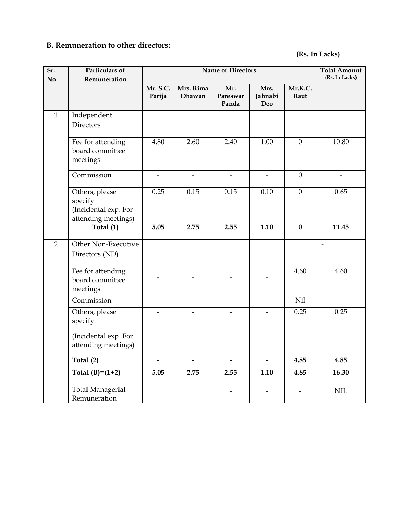## **B. Remuneration to other directors:**

#### **(Rs. In Lacks)**

| Sr.<br>No.     | Particulars of<br>Remuneration                                           | <b>Name of Directors</b> |                                  |                          |                          |                          | <b>Total Amount</b><br>(Rs. In Lacks) |
|----------------|--------------------------------------------------------------------------|--------------------------|----------------------------------|--------------------------|--------------------------|--------------------------|---------------------------------------|
|                |                                                                          | Mr. S.C.<br>Parija       | Mrs. Rima<br>Dhawan              | Mr.<br>Pareswar<br>Panda | Mrs.<br>Jahnabi<br>Deo   | Mr.K.C.<br>Raut          |                                       |
| $\mathbf{1}$   | Independent<br>Directors                                                 |                          |                                  |                          |                          |                          |                                       |
|                | Fee for attending<br>board committee<br>meetings                         | 4.80                     | 2.60                             | 2.40                     | 1.00                     | $\mathbf{0}$             | 10.80                                 |
|                | Commission                                                               |                          | -                                | $\overline{\phantom{a}}$ |                          | $\theta$                 | $\overline{\phantom{0}}$              |
|                | Others, please<br>specify<br>(Incidental exp. For<br>attending meetings) | 0.25                     | 0.15                             | 0.15                     | 0.10                     | $\boldsymbol{0}$         | 0.65                                  |
|                | Total (1)                                                                | 5.05                     | 2.75                             | 2.55                     | 1.10                     | $\bf{0}$                 | 11.45                                 |
| $\overline{2}$ | Other Non-Executive<br>Directors (ND)                                    |                          |                                  |                          |                          |                          |                                       |
|                | Fee for attending<br>board committee<br>meetings                         |                          |                                  |                          |                          | 4.60                     | 4.60                                  |
|                | Commission                                                               |                          | $\overline{\phantom{0}}$         | $\overline{\phantom{0}}$ |                          | <b>Nil</b>               | $\overline{\phantom{0}}$              |
|                | Others, please<br>specify<br>(Incidental exp. For<br>attending meetings) |                          |                                  |                          |                          | 0.25                     | 0.25                                  |
|                | Total (2)                                                                | $\overline{a}$           |                                  | $\overline{\phantom{0}}$ | $\overline{\phantom{0}}$ | 4.85                     |                                       |
|                | Total $(B)=(1+2)$                                                        |                          | $\overline{\phantom{0}}$<br>2.75 | 2.55                     |                          |                          | 4.85<br>16.30                         |
|                |                                                                          | 5.05                     |                                  |                          | $1.10$                   | 4.85                     |                                       |
|                | <b>Total Managerial</b><br>Remuneration                                  | $\overline{\phantom{0}}$ | $\overline{\phantom{0}}$         | -                        |                          | $\overline{\phantom{0}}$ | $\text{NIL}$                          |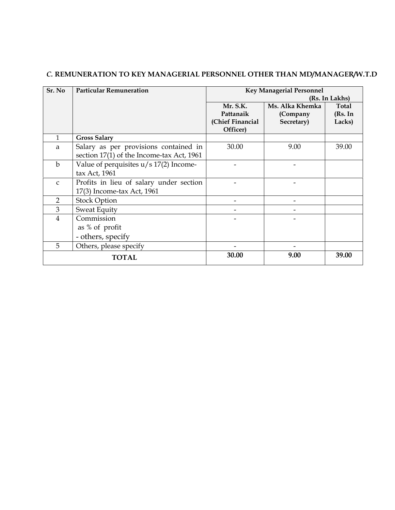| Sr. No         | <b>Particular Remuneration</b>            | <b>Key Managerial Personnel</b> |                 |         |  |
|----------------|-------------------------------------------|---------------------------------|-----------------|---------|--|
|                |                                           | (Rs. In Lakhs)                  |                 |         |  |
|                |                                           | Mr. S.K.                        | Ms. Alka Khemka | Total   |  |
|                |                                           | Pattanaik                       | (Company        | (Rs. In |  |
|                |                                           | (Chief Financial                | Secretary)      | Lacks)  |  |
|                |                                           | Officer)                        |                 |         |  |
| 1              | <b>Gross Salary</b>                       |                                 |                 |         |  |
| a              | Salary as per provisions contained in     | 30.00                           | 9.00            | 39.00   |  |
|                | section 17(1) of the Income-tax Act, 1961 |                                 |                 |         |  |
| $\mathbf b$    | Value of perquisites $u/s$ 17(2) Income-  |                                 |                 |         |  |
|                | tax Act, 1961                             |                                 |                 |         |  |
| $\mathsf{C}$   | Profits in lieu of salary under section   |                                 |                 |         |  |
|                | 17(3) Income-tax Act, 1961                |                                 |                 |         |  |
| $\overline{2}$ | <b>Stock Option</b>                       |                                 |                 |         |  |
| 3              | <b>Sweat Equity</b>                       |                                 |                 |         |  |
| $\overline{4}$ | Commission                                |                                 |                 |         |  |
|                | as % of profit                            |                                 |                 |         |  |
|                | - others, specify                         |                                 |                 |         |  |
| 5              | Others, please specify                    |                                 |                 |         |  |
|                | <b>TOTAL</b>                              | 30.00                           | 9.00            | 39.00   |  |

### *C.* **REMUNERATION TO KEY MANAGERIAL PERSONNEL OTHER THAN MD/MANAGER/W.T.D**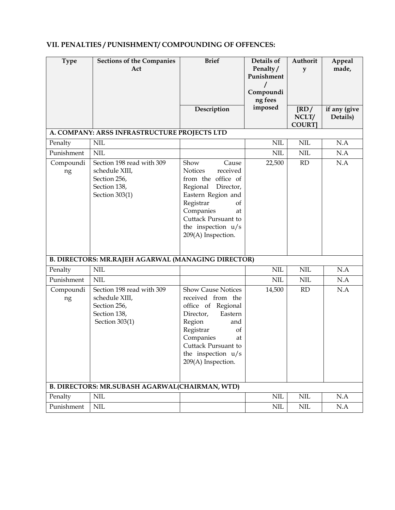## **VII. PENALTIES / PUNISHMENT/ COMPOUNDING OF OFFENCES:**

| <b>Type</b>                                        | <b>Sections of the Companies</b><br>Act                                                       | <b>Brief</b>                                                                                                                                                                                                             | Details of<br>Penalty/  | Authorit<br>y                                   | Appeal<br>made,          |  |
|----------------------------------------------------|-----------------------------------------------------------------------------------------------|--------------------------------------------------------------------------------------------------------------------------------------------------------------------------------------------------------------------------|-------------------------|-------------------------------------------------|--------------------------|--|
|                                                    |                                                                                               |                                                                                                                                                                                                                          | Punishment<br>Compoundi |                                                 |                          |  |
|                                                    |                                                                                               |                                                                                                                                                                                                                          | ng fees                 |                                                 |                          |  |
|                                                    |                                                                                               | Description                                                                                                                                                                                                              | imposed                 | $\overline{\text{RD}}$<br>NCLT/<br><b>COURT</b> | if any (give<br>Details) |  |
|                                                    | A. COMPANY: ARSS INFRASTRUCTURE PROJECTS LTD                                                  |                                                                                                                                                                                                                          |                         |                                                 |                          |  |
| Penalty                                            | <b>NIL</b>                                                                                    |                                                                                                                                                                                                                          | <b>NIL</b>              | $\text{NIL}$                                    | N.A                      |  |
| Punishment                                         | <b>NIL</b>                                                                                    |                                                                                                                                                                                                                          | <b>NIL</b>              | <b>NIL</b>                                      | N.A                      |  |
| Compoundi<br>ng                                    | Section 198 read with 309<br>schedule XIII,<br>Section 256,<br>Section 138,<br>Section 303(1) | Show<br>Cause<br><b>Notices</b><br>received<br>from the office of<br>Regional Director,<br>Eastern Region and<br>Registrar<br>of<br>Companies<br>at<br>Cuttack Pursuant to<br>the inspection $u/s$<br>209(A) Inspection. | 22,500                  | RD                                              | N.A                      |  |
| B. DIRECTORS: MR.RAJEH AGARWAL (MANAGING DIRECTOR) |                                                                                               |                                                                                                                                                                                                                          |                         |                                                 |                          |  |
| Penalty                                            | <b>NIL</b>                                                                                    |                                                                                                                                                                                                                          | <b>NIL</b>              | <b>NIL</b>                                      | N.A                      |  |
| Punishment                                         | <b>NIL</b>                                                                                    |                                                                                                                                                                                                                          | $\text{NIL}$            | <b>NIL</b>                                      | N.A                      |  |
| Compoundi<br>ng                                    | Section 198 read with 309<br>schedule XIII,<br>Section 256,<br>Section 138,<br>Section 303(1) | <b>Show Cause Notices</b><br>received from the<br>office of Regional<br>Director,<br>Eastern<br>Region<br>and<br>Registrar<br>of<br>Companies<br>at<br>Cuttack Pursuant to<br>the inspection $u/s$<br>209(A) Inspection. | 14,500                  | RD                                              | N.A                      |  |
| B. DIRECTORS: MR.SUBASH AGARWAL(CHAIRMAN, WTD)     |                                                                                               |                                                                                                                                                                                                                          |                         |                                                 |                          |  |
| Penalty                                            | <b>NIL</b>                                                                                    |                                                                                                                                                                                                                          | <b>NIL</b>              | <b>NIL</b>                                      | N.A                      |  |
| Punishment                                         | <b>NIL</b>                                                                                    |                                                                                                                                                                                                                          | <b>NIL</b>              | $\mbox{NIL}$                                    | N.A                      |  |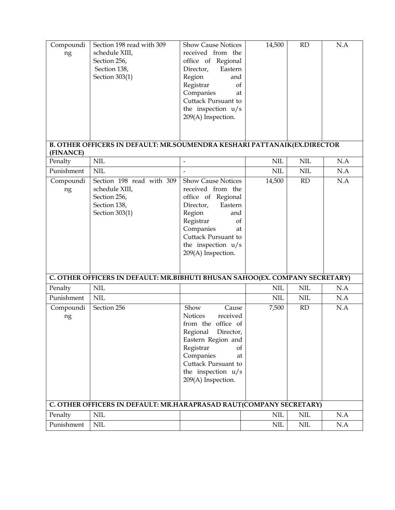| Cuttack Pursuant to<br>the inspection $u/s$<br>209(A) Inspection.<br>B. OTHER OFFICERS IN DEFAULT: MR.SOUMENDRA KESHARI PATTANAIK(EX.DIRECTOR<br>(FINANCE)<br>$\text{NIL}$<br>N.A<br>Penalty<br><b>NIL</b><br><b>NIL</b><br>$\frac{1}{2}$<br>Punishment<br><b>NIL</b><br>$\text{NIL}$<br>$\text{NIL}$<br>N.A<br>Section 198 read with 309<br><b>Show Cause Notices</b><br>RD<br>N.A<br>Compoundi<br>14,500<br>schedule XIII,<br>received from the<br>ng<br>Section 256,<br>office of Regional<br>Section 138,<br>Director,<br>Eastern<br>Section 303(1)<br>Region<br>and<br>Registrar<br>of<br>Companies<br>at<br>Cuttack Pursuant to<br>the inspection u/s<br>209(A) Inspection.<br>C. OTHER OFFICERS IN DEFAULT: MR.BIBHUTI BHUSAN SAHOO(EX. COMPANY SECRETARY)<br><b>NIL</b><br><b>NIL</b><br><b>NIL</b><br>N.A<br>Penalty<br><b>NIL</b><br>N.A<br>Punishment<br><b>NIL</b><br>$\text{NIL}$<br>Section 256<br>RD<br>N.A<br>Show<br>Cause<br>7,500<br>Compoundi<br><b>Notices</b><br>received<br>ng<br>from the office of<br>Regional<br>Director,<br>Eastern Region and<br>Registrar<br>of<br>Companies<br>at<br>Cuttack Pursuant to<br>the inspection $u/s$<br>209(A) Inspection. |  |  |  |  |  |
|---------------------------------------------------------------------------------------------------------------------------------------------------------------------------------------------------------------------------------------------------------------------------------------------------------------------------------------------------------------------------------------------------------------------------------------------------------------------------------------------------------------------------------------------------------------------------------------------------------------------------------------------------------------------------------------------------------------------------------------------------------------------------------------------------------------------------------------------------------------------------------------------------------------------------------------------------------------------------------------------------------------------------------------------------------------------------------------------------------------------------------------------------------------------------------------|--|--|--|--|--|
|                                                                                                                                                                                                                                                                                                                                                                                                                                                                                                                                                                                                                                                                                                                                                                                                                                                                                                                                                                                                                                                                                                                                                                                       |  |  |  |  |  |
|                                                                                                                                                                                                                                                                                                                                                                                                                                                                                                                                                                                                                                                                                                                                                                                                                                                                                                                                                                                                                                                                                                                                                                                       |  |  |  |  |  |
|                                                                                                                                                                                                                                                                                                                                                                                                                                                                                                                                                                                                                                                                                                                                                                                                                                                                                                                                                                                                                                                                                                                                                                                       |  |  |  |  |  |
|                                                                                                                                                                                                                                                                                                                                                                                                                                                                                                                                                                                                                                                                                                                                                                                                                                                                                                                                                                                                                                                                                                                                                                                       |  |  |  |  |  |
|                                                                                                                                                                                                                                                                                                                                                                                                                                                                                                                                                                                                                                                                                                                                                                                                                                                                                                                                                                                                                                                                                                                                                                                       |  |  |  |  |  |
|                                                                                                                                                                                                                                                                                                                                                                                                                                                                                                                                                                                                                                                                                                                                                                                                                                                                                                                                                                                                                                                                                                                                                                                       |  |  |  |  |  |
|                                                                                                                                                                                                                                                                                                                                                                                                                                                                                                                                                                                                                                                                                                                                                                                                                                                                                                                                                                                                                                                                                                                                                                                       |  |  |  |  |  |
| C. OTHER OFFICERS IN DEFAULT: MR.HARAPRASAD RAUT(COMPANY SECRETARY)                                                                                                                                                                                                                                                                                                                                                                                                                                                                                                                                                                                                                                                                                                                                                                                                                                                                                                                                                                                                                                                                                                                   |  |  |  |  |  |
| $\text{NIL}$                                                                                                                                                                                                                                                                                                                                                                                                                                                                                                                                                                                                                                                                                                                                                                                                                                                                                                                                                                                                                                                                                                                                                                          |  |  |  |  |  |
| N.A<br><b>NIL</b><br><b>NIL</b><br>Penalty<br>N.A<br>Punishment<br>$\text{NIL}$<br>$\text{NIL}$<br>$\mbox{NIL}$                                                                                                                                                                                                                                                                                                                                                                                                                                                                                                                                                                                                                                                                                                                                                                                                                                                                                                                                                                                                                                                                       |  |  |  |  |  |